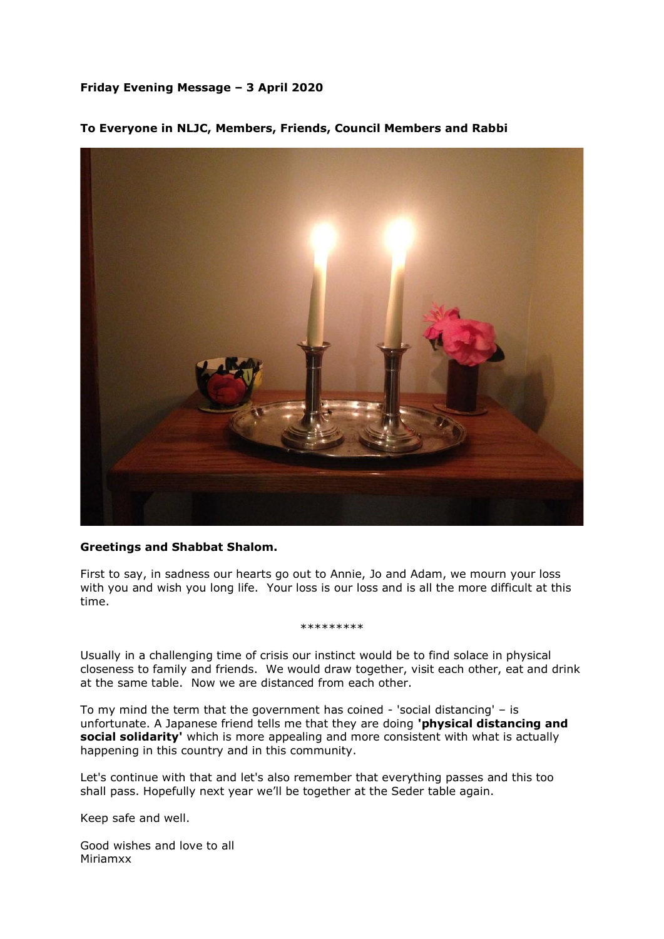## **Friday Evening Message – 3 April 2020**



## **To Everyone in NLJC, Members, Friends, Council Members and Rabbi**

## **Greetings and Shabbat Shalom.**

First to say, in sadness our hearts go out to Annie, Jo and Adam, we mourn your loss with you and wish you long life. Your loss is our loss and is all the more difficult at this time.

## \*\*\*\*\*\*\*\*\*

Usually in a challenging time of crisis our instinct would be to find solace in physical closeness to family and friends. We would draw together, visit each other, eat and drink at the same table. Now we are distanced from each other.

To my mind the term that the government has coined - 'social distancing' – is unfortunate. A Japanese friend tells me that they are doing **'physical distancing and social solidarity'** which is more appealing and more consistent with what is actually happening in this country and in this community.

Let's continue with that and let's also remember that everything passes and this too shall pass. Hopefully next year we'll be together at the Seder table again.

Keep safe and well.

Good wishes and love to all Miriamxx